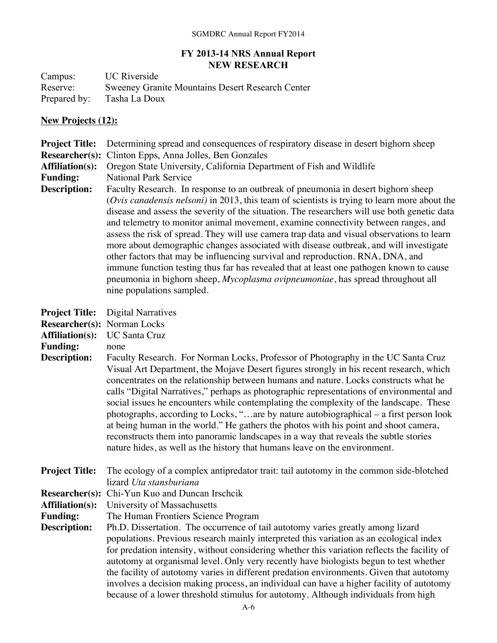## **FY 2013-14 NRS Annual Report NEW RESEARCH**

Campus: UC Riverside Reserve: Sweeney Granite Mountains Desert Research Center<br>Prepared by: Tasha La Doux Tasha La Doux

## **New Projects (12):**

| <b>Project Title:</b>                                                                                                    | Determining spread and consequences of respiratory disease in desert bighorn sheep                                                                                                                                                                                                                                                                                                                                                                                                                                                                                                                                                                                                                                                                                                                                                                                              |
|--------------------------------------------------------------------------------------------------------------------------|---------------------------------------------------------------------------------------------------------------------------------------------------------------------------------------------------------------------------------------------------------------------------------------------------------------------------------------------------------------------------------------------------------------------------------------------------------------------------------------------------------------------------------------------------------------------------------------------------------------------------------------------------------------------------------------------------------------------------------------------------------------------------------------------------------------------------------------------------------------------------------|
| <b>Researcher(s):</b>                                                                                                    | Clinton Epps, Anna Jolles, Ben Gonzales                                                                                                                                                                                                                                                                                                                                                                                                                                                                                                                                                                                                                                                                                                                                                                                                                                         |
| <b>Affiliation(s):</b>                                                                                                   | Oregon State University, California Department of Fish and Wildlife                                                                                                                                                                                                                                                                                                                                                                                                                                                                                                                                                                                                                                                                                                                                                                                                             |
| <b>Funding:</b>                                                                                                          | <b>National Park Service</b>                                                                                                                                                                                                                                                                                                                                                                                                                                                                                                                                                                                                                                                                                                                                                                                                                                                    |
| <b>Description:</b>                                                                                                      | Faculty Research. In response to an outbreak of pneumonia in desert bighorn sheep<br>(Ovis canadensis nelsoni) in 2013, this team of scientists is trying to learn more about the<br>disease and assess the severity of the situation. The researchers will use both genetic data<br>and telemetry to monitor animal movement, examine connectivity between ranges, and<br>assess the risk of spread. They will use camera trap data and visual observations to learn<br>more about demographic changes associated with disease outbreak, and will investigate<br>other factors that may be influencing survival and reproduction. RNA, DNA, and<br>immune function testing thus far has revealed that at least one pathogen known to cause<br>pneumonia in bighorn sheep, Mycoplasma ovipneumoniae, has spread throughout all<br>nine populations sampled.                     |
| <b>Project Title:</b><br>Researcher(s): Norman Locks<br><b>Affiliation(s):</b><br><b>Funding:</b><br><b>Description:</b> | <b>Digital Narratives</b><br><b>UC Santa Cruz</b><br>none<br>Faculty Research. For Norman Locks, Professor of Photography in the UC Santa Cruz<br>Visual Art Department, the Mojave Desert figures strongly in his recent research, which<br>concentrates on the relationship between humans and nature. Locks constructs what he<br>calls "Digital Narratives," perhaps as photographic representations of environmental and<br>social issues he encounters while contemplating the complexity of the landscape. These<br>photographs, according to Locks, "are by nature autobiographical - a first person look<br>at being human in the world." He gathers the photos with his point and shoot camera,<br>reconstructs them into panoramic landscapes in a way that reveals the subtle stories<br>nature hides, as well as the history that humans leave on the environment. |
| <b>Project Title:</b>                                                                                                    | The ecology of a complex antipredator trait: tail autotomy in the common side-blotched<br>lizard Uta stansburiana                                                                                                                                                                                                                                                                                                                                                                                                                                                                                                                                                                                                                                                                                                                                                               |
|                                                                                                                          | Researcher(s): Chi-Yun Kuo and Duncan Irschcik                                                                                                                                                                                                                                                                                                                                                                                                                                                                                                                                                                                                                                                                                                                                                                                                                                  |
|                                                                                                                          | <b>Affiliation(s):</b> University of Massachusetts                                                                                                                                                                                                                                                                                                                                                                                                                                                                                                                                                                                                                                                                                                                                                                                                                              |
| <b>Funding:</b>                                                                                                          | The Human Frontiers Science Program                                                                                                                                                                                                                                                                                                                                                                                                                                                                                                                                                                                                                                                                                                                                                                                                                                             |
| <b>Description:</b>                                                                                                      | Ph.D. Dissertation. The occurrence of tail autotomy varies greatly among lizard<br>populations. Previous research mainly interpreted this variation as an ecological index<br>for predation intensity, without considering whether this variation reflects the facility of<br>autotomy at organismal level. Only very recently have biologists begun to test whether<br>the facility of autotomy varies in different predation environments. Given that autotomy<br>involves a decision making process, an individual can have a higher facility of autotomy<br>because of a lower threshold stimulus for autotomy. Although individuals from high                                                                                                                                                                                                                              |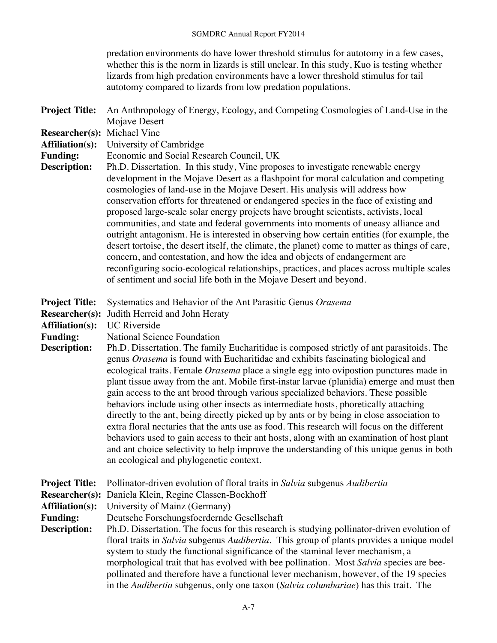predation environments do have lower threshold stimulus for autotomy in a few cases, whether this is the norm in lizards is still unclear. In this study, Kuo is testing whether lizards from high predation environments have a lower threshold stimulus for tail autotomy compared to lizards from low predation populations.

| <b>Project Title:</b>                                                    | An Anthropology of Energy, Ecology, and Competing Cosmologies of Land-Use in the                                                                                                                                                                                                                                                                                                                                                                                                                                                                                                                                                                                                                                                                                                                                                                                                                                                                                                                                         |
|--------------------------------------------------------------------------|--------------------------------------------------------------------------------------------------------------------------------------------------------------------------------------------------------------------------------------------------------------------------------------------------------------------------------------------------------------------------------------------------------------------------------------------------------------------------------------------------------------------------------------------------------------------------------------------------------------------------------------------------------------------------------------------------------------------------------------------------------------------------------------------------------------------------------------------------------------------------------------------------------------------------------------------------------------------------------------------------------------------------|
| <b>Researcher(s):</b>                                                    | Mojave Desert<br>Michael Vine                                                                                                                                                                                                                                                                                                                                                                                                                                                                                                                                                                                                                                                                                                                                                                                                                                                                                                                                                                                            |
| <b>Affiliation(s):</b>                                                   | University of Cambridge                                                                                                                                                                                                                                                                                                                                                                                                                                                                                                                                                                                                                                                                                                                                                                                                                                                                                                                                                                                                  |
| <b>Funding:</b>                                                          | Economic and Social Research Council, UK                                                                                                                                                                                                                                                                                                                                                                                                                                                                                                                                                                                                                                                                                                                                                                                                                                                                                                                                                                                 |
| <b>Description:</b>                                                      | Ph.D. Dissertation. In this study, Vine proposes to investigate renewable energy<br>development in the Mojave Desert as a flashpoint for moral calculation and competing<br>cosmologies of land-use in the Mojave Desert. His analysis will address how<br>conservation efforts for threatened or endangered species in the face of existing and<br>proposed large-scale solar energy projects have brought scientists, activists, local<br>communities, and state and federal governments into moments of uneasy alliance and<br>outright antagonism. He is interested in observing how certain entities (for example, the<br>desert tortoise, the desert itself, the climate, the planet) come to matter as things of care,<br>concern, and contestation, and how the idea and objects of endangerment are<br>reconfiguring socio-ecological relationships, practices, and places across multiple scales<br>of sentiment and social life both in the Mojave Desert and beyond.                                         |
| <b>Project Title:</b><br><b>Researcher(s):</b>                           | Systematics and Behavior of the Ant Parasitic Genus Orasema<br>Judith Herreid and John Heraty                                                                                                                                                                                                                                                                                                                                                                                                                                                                                                                                                                                                                                                                                                                                                                                                                                                                                                                            |
| <b>Affiliation(s):</b>                                                   | <b>UC</b> Riverside                                                                                                                                                                                                                                                                                                                                                                                                                                                                                                                                                                                                                                                                                                                                                                                                                                                                                                                                                                                                      |
| <b>Funding:</b><br><b>Description:</b>                                   | <b>National Science Foundation</b><br>Ph.D. Dissertation. The family Eucharitidae is composed strictly of ant parasitoids. The<br>genus Orasema is found with Eucharitidae and exhibits fascinating biological and<br>ecological traits. Female Orasema place a single egg into ovipostion punctures made in<br>plant tissue away from the ant. Mobile first-instar larvae (planidia) emerge and must then<br>gain access to the ant brood through various specialized behaviors. These possible<br>behaviors include using other insects as intermediate hosts, phoretically attaching<br>directly to the ant, being directly picked up by ants or by being in close association to<br>extra floral nectaries that the ants use as food. This research will focus on the different<br>behaviors used to gain access to their ant hosts, along with an examination of host plant<br>and ant choice selectivity to help improve the understanding of this unique genus in both<br>an ecological and phylogenetic context. |
| <b>Project Title:</b><br><b>Researcher(s):</b><br><b>Affiliation(s):</b> | Pollinator-driven evolution of floral traits in Salvia subgenus Audibertia<br>Daniela Klein, Regine Classen-Bockhoff<br>University of Mainz (Germany)                                                                                                                                                                                                                                                                                                                                                                                                                                                                                                                                                                                                                                                                                                                                                                                                                                                                    |
| <b>Funding:</b>                                                          | Deutsche Forschungsfoerdernde Gesellschaft                                                                                                                                                                                                                                                                                                                                                                                                                                                                                                                                                                                                                                                                                                                                                                                                                                                                                                                                                                               |
| <b>Description:</b>                                                      | Ph.D. Dissertation. The focus for this research is studying pollinator-driven evolution of<br>floral traits in Salvia subgenus Audibertia. This group of plants provides a unique model<br>system to study the functional significance of the staminal lever mechanism, a<br>morphological trait that has evolved with bee pollination. Most Salvia species are bee-<br>pollinated and therefore have a functional lever mechanism, however, of the 19 species<br>in the Audibertia subgenus, only one taxon (Salvia columbariae) has this trait. The                                                                                                                                                                                                                                                                                                                                                                                                                                                                    |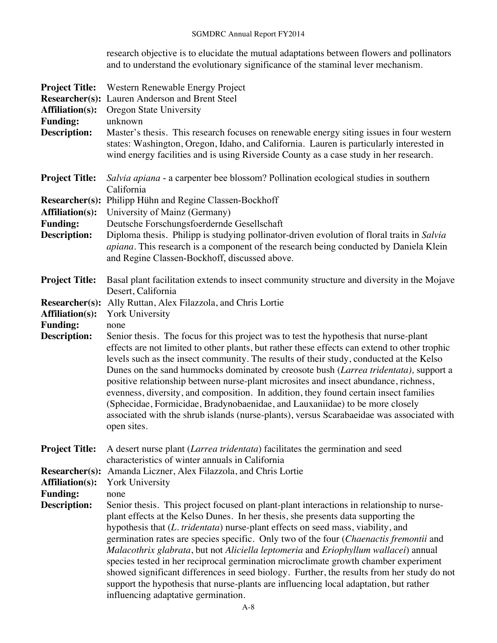research objective is to elucidate the mutual adaptations between flowers and pollinators and to understand the evolutionary significance of the staminal lever mechanism.

| <b>Project Title:</b><br><b>Researcher(s):</b><br><b>Affiliation(s):</b><br><b>Funding:</b><br><b>Description:</b> | Western Renewable Energy Project<br>Lauren Anderson and Brent Steel<br>Oregon State University<br>unknown<br>Master's thesis. This research focuses on renewable energy siting issues in four western<br>states: Washington, Oregon, Idaho, and California. Lauren is particularly interested in<br>wind energy facilities and is using Riverside County as a case study in her research.                                                                                                                                                                                                                                                                                                                                                                                                                                                                      |
|--------------------------------------------------------------------------------------------------------------------|----------------------------------------------------------------------------------------------------------------------------------------------------------------------------------------------------------------------------------------------------------------------------------------------------------------------------------------------------------------------------------------------------------------------------------------------------------------------------------------------------------------------------------------------------------------------------------------------------------------------------------------------------------------------------------------------------------------------------------------------------------------------------------------------------------------------------------------------------------------|
| <b>Project Title:</b>                                                                                              | Salvia apiana - a carpenter bee blossom? Pollination ecological studies in southern<br>California                                                                                                                                                                                                                                                                                                                                                                                                                                                                                                                                                                                                                                                                                                                                                              |
| <b>Researcher(s):</b><br><b>Affiliation(s):</b><br><b>Funding:</b><br><b>Description:</b>                          | Philipp Hühn and Regine Classen-Bockhoff<br>University of Mainz (Germany)<br>Deutsche Forschungsfoerdernde Gesellschaft<br>Diploma thesis. Philipp is studying pollinator-driven evolution of floral traits in Salvia<br>apiana. This research is a component of the research being conducted by Daniela Klein<br>and Regine Classen-Bockhoff, discussed above.                                                                                                                                                                                                                                                                                                                                                                                                                                                                                                |
| <b>Project Title:</b>                                                                                              | Basal plant facilitation extends to insect community structure and diversity in the Mojave<br>Desert, California                                                                                                                                                                                                                                                                                                                                                                                                                                                                                                                                                                                                                                                                                                                                               |
| <b>Researcher(s):</b><br><b>Affiliation(s):</b><br><b>Funding:</b><br>Description:                                 | Ally Ruttan, Alex Filazzola, and Chris Lortie<br>York University<br>none<br>Senior thesis. The focus for this project was to test the hypothesis that nurse-plant<br>effects are not limited to other plants, but rather these effects can extend to other trophic<br>levels such as the insect community. The results of their study, conducted at the Kelso<br>Dunes on the sand hummocks dominated by creosote bush (Larrea tridentata), support a<br>positive relationship between nurse-plant microsites and insect abundance, richness,<br>evenness, diversity, and composition. In addition, they found certain insect families<br>(Sphecidae, Formicidae, Bradynobaenidae, and Lauxaniidae) to be more closely<br>associated with the shrub islands (nurse-plants), versus Scarabaeidae was associated with<br>open sites.                             |
| <b>Project Title:</b>                                                                                              | A desert nurse plant (Larrea tridentata) facilitates the germination and seed<br>characteristics of winter annuals in California                                                                                                                                                                                                                                                                                                                                                                                                                                                                                                                                                                                                                                                                                                                               |
| <b>Researcher(s):</b><br><b>Affiliation(s):</b><br><b>Funding:</b><br><b>Description:</b>                          | Amanda Liczner, Alex Filazzola, and Chris Lortie<br><b>York University</b><br>none<br>Senior thesis. This project focused on plant-plant interactions in relationship to nurse-<br>plant effects at the Kelso Dunes. In her thesis, she presents data supporting the<br>hypothesis that (L. tridentata) nurse-plant effects on seed mass, viability, and<br>germination rates are species specific. Only two of the four (Chaenactis fremontii and<br>Malacothrix glabrata, but not Aliciella leptomeria and Eriophyllum wallacei) annual<br>species tested in her reciprocal germination microclimate growth chamber experiment<br>showed significant differences in seed biology. Further, the results from her study do not<br>support the hypothesis that nurse-plants are influencing local adaptation, but rather<br>influencing adaptative germination. |